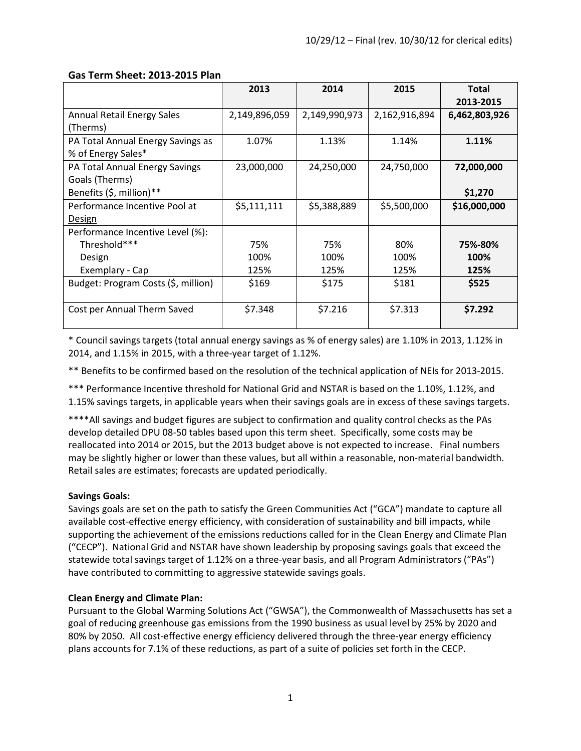|                                     | 2013          | 2014          | 2015          | <b>Total</b><br>2013-2015 |
|-------------------------------------|---------------|---------------|---------------|---------------------------|
| <b>Annual Retail Energy Sales</b>   | 2,149,896,059 | 2,149,990,973 | 2,162,916,894 | 6,462,803,926             |
| (Therms)                            |               |               |               |                           |
| PA Total Annual Energy Savings as   | 1.07%         | 1.13%         | 1.14%         | 1.11%                     |
| % of Energy Sales*                  |               |               |               |                           |
| PA Total Annual Energy Savings      | 23,000,000    | 24,250,000    | 24,750,000    | 72,000,000                |
| Goals (Therms)                      |               |               |               |                           |
| Benefits (\$, million)**            |               |               |               | \$1,270                   |
| Performance Incentive Pool at       | \$5,111,111   | \$5,388,889   | \$5,500,000   | \$16,000,000              |
| Design                              |               |               |               |                           |
| Performance Incentive Level (%):    |               |               |               |                           |
| Threshold***                        | 75%           | 75%           | 80%           | 75%-80%                   |
| Design                              | 100%          | 100%          | 100%          | 100%                      |
| Exemplary - Cap                     | 125%          | 125%          | 125%          | 125%                      |
| Budget: Program Costs (\$, million) | \$169         | \$175         | \$181         | \$525                     |
|                                     |               |               |               |                           |
| Cost per Annual Therm Saved         | \$7.348       | \$7.216       | \$7.313       | \$7.292                   |

### **Gas Term Sheet: 2013-2015 Plan**

\* Council savings targets (total annual energy savings as % of energy sales) are 1.10% in 2013, 1.12% in 2014, and 1.15% in 2015, with a three-year target of 1.12%.

\*\* Benefits to be confirmed based on the resolution of the technical application of NEIs for 2013-2015.

\*\*\* Performance Incentive threshold for National Grid and NSTAR is based on the 1.10%, 1.12%, and 1.15% savings targets, in applicable years when their savings goals are in excess of these savings targets.

\*\*\*\*All savings and budget figures are subject to confirmation and quality control checks as the PAs develop detailed DPU 08-50 tables based upon this term sheet. Specifically, some costs may be reallocated into 2014 or 2015, but the 2013 budget above is not expected to increase. Final numbers may be slightly higher or lower than these values, but all within a reasonable, non-material bandwidth. Retail sales are estimates; forecasts are updated periodically.

## **Savings Goals:**

Savings goals are set on the path to satisfy the Green Communities Act ("GCA") mandate to capture all available cost-effective energy efficiency, with consideration of sustainability and bill impacts, while supporting the achievement of the emissions reductions called for in the Clean Energy and Climate Plan ("CECP"). National Grid and NSTAR have shown leadership by proposing savings goals that exceed the statewide total savings target of 1.12% on a three-year basis, and all Program Administrators ("PAs") have contributed to committing to aggressive statewide savings goals.

#### **Clean Energy and Climate Plan:**

Pursuant to the Global Warming Solutions Act ("GWSA"), the Commonwealth of Massachusetts has set a goal of reducing greenhouse gas emissions from the 1990 business as usual level by 25% by 2020 and 80% by 2050. All cost-effective energy efficiency delivered through the three-year energy efficiency plans accounts for 7.1% of these reductions, as part of a suite of policies set forth in the CECP.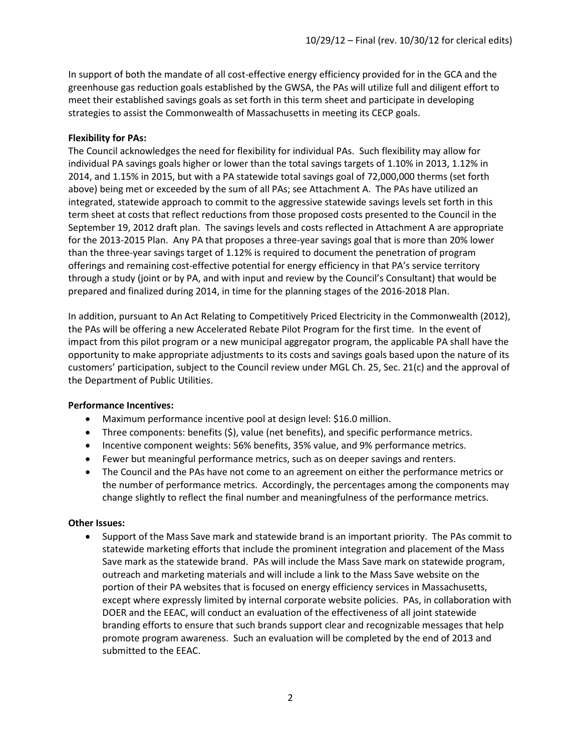In support of both the mandate of all cost-effective energy efficiency provided for in the GCA and the greenhouse gas reduction goals established by the GWSA, the PAs will utilize full and diligent effort to meet their established savings goals as set forth in this term sheet and participate in developing strategies to assist the Commonwealth of Massachusetts in meeting its CECP goals.

#### **Flexibility for PAs:**

The Council acknowledges the need for flexibility for individual PAs. Such flexibility may allow for individual PA savings goals higher or lower than the total savings targets of 1.10% in 2013, 1.12% in 2014, and 1.15% in 2015, but with a PA statewide total savings goal of 72,000,000 therms (set forth above) being met or exceeded by the sum of all PAs; see Attachment A. The PAs have utilized an integrated, statewide approach to commit to the aggressive statewide savings levels set forth in this term sheet at costs that reflect reductions from those proposed costs presented to the Council in the September 19, 2012 draft plan. The savings levels and costs reflected in Attachment A are appropriate for the 2013-2015 Plan. Any PA that proposes a three-year savings goal that is more than 20% lower than the three-year savings target of 1.12% is required to document the penetration of program offerings and remaining cost-effective potential for energy efficiency in that PA's service territory through a study (joint or by PA, and with input and review by the Council's Consultant) that would be prepared and finalized during 2014, in time for the planning stages of the 2016-2018 Plan.

In addition, pursuant to An Act Relating to Competitively Priced Electricity in the Commonwealth (2012), the PAs will be offering a new Accelerated Rebate Pilot Program for the first time. In the event of impact from this pilot program or a new municipal aggregator program, the applicable PA shall have the opportunity to make appropriate adjustments to its costs and savings goals based upon the nature of its customers' participation, subject to the Council review under MGL Ch. 25, Sec. 21(c) and the approval of the Department of Public Utilities.

#### **Performance Incentives:**

- Maximum performance incentive pool at design level: \$16.0 million.
- Three components: benefits (\$), value (net benefits), and specific performance metrics.
- Incentive component weights: 56% benefits, 35% value, and 9% performance metrics.
- Fewer but meaningful performance metrics, such as on deeper savings and renters.
- The Council and the PAs have not come to an agreement on either the performance metrics or the number of performance metrics. Accordingly, the percentages among the components may change slightly to reflect the final number and meaningfulness of the performance metrics.

#### **Other Issues:**

• Support of the Mass Save mark and statewide brand is an important priority. The PAs commit to statewide marketing efforts that include the prominent integration and placement of the Mass Save mark as the statewide brand. PAs will include the Mass Save mark on statewide program, outreach and marketing materials and will include a link to the Mass Save website on the portion of their PA websites that is focused on energy efficiency services in Massachusetts, except where expressly limited by internal corporate website policies. PAs, in collaboration with DOER and the EEAC, will conduct an evaluation of the effectiveness of all joint statewide branding efforts to ensure that such brands support clear and recognizable messages that help promote program awareness. Such an evaluation will be completed by the end of 2013 and submitted to the EEAC.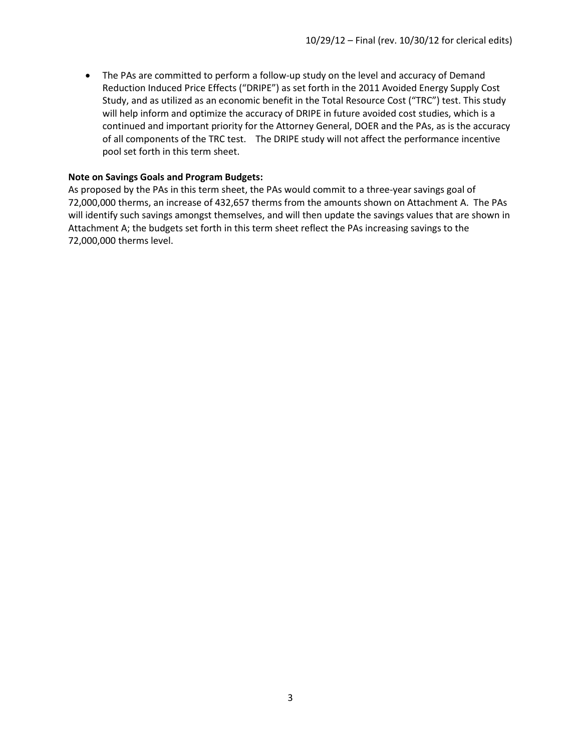• The PAs are committed to perform a follow-up study on the level and accuracy of Demand Reduction Induced Price Effects ("DRIPE") as set forth in the 2011 Avoided Energy Supply Cost Study, and as utilized as an economic benefit in the Total Resource Cost ("TRC") test. This study will help inform and optimize the accuracy of DRIPE in future avoided cost studies, which is a continued and important priority for the Attorney General, DOER and the PAs, as is the accuracy of all components of the TRC test. The DRIPE study will not affect the performance incentive pool set forth in this term sheet.

#### **Note on Savings Goals and Program Budgets:**

As proposed by the PAs in this term sheet, the PAs would commit to a three-year savings goal of 72,000,000 therms, an increase of 432,657 therms from the amounts shown on Attachment A. The PAs will identify such savings amongst themselves, and will then update the savings values that are shown in Attachment A; the budgets set forth in this term sheet reflect the PAs increasing savings to the 72,000,000 therms level.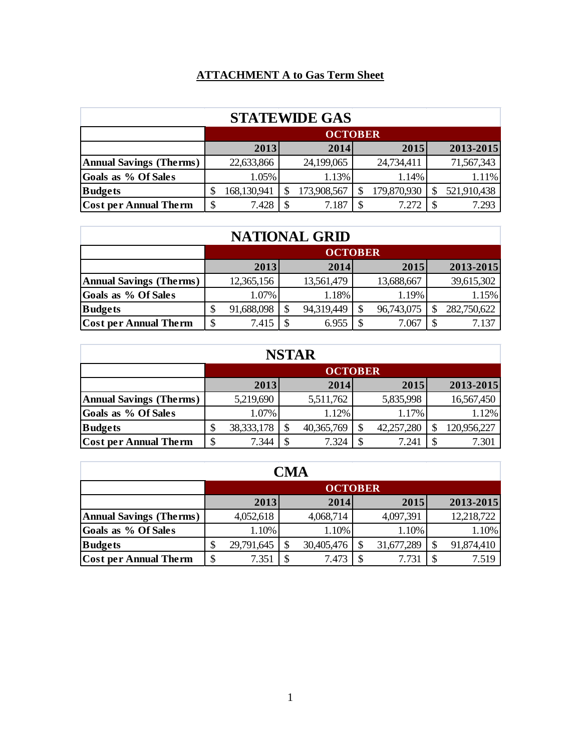## **ATTACHMENT A to Gas Term Sheet**

| <b>STATEWIDE GAS</b>           |    |                |  |             |  |             |  |             |  |  |  |
|--------------------------------|----|----------------|--|-------------|--|-------------|--|-------------|--|--|--|
|                                |    | <b>OCTOBER</b> |  |             |  |             |  |             |  |  |  |
|                                |    | 2013           |  | 2014        |  | 2015        |  | 2013-2015   |  |  |  |
| <b>Annual Savings (Therms)</b> |    | 22,633,866     |  | 24,199,065  |  | 24,734,411  |  | 71,567,343  |  |  |  |
| Goals as % Of Sales            |    | 1.05%          |  | 1.13%       |  | 1.14%       |  | 1.11%       |  |  |  |
| <b>Budgets</b>                 |    | 168,130,941    |  | 173,908,567 |  | 179,870,930 |  | 521,910,438 |  |  |  |
| <b>Cost per Annual Therm</b>   | \$ | 7.428          |  | 7.187       |  | 7.272       |  | 7.293       |  |  |  |

# **NATIONAL GRID**

|                                | <b>OCTOBER</b> |            |  |            |  |            |  |             |  |
|--------------------------------|----------------|------------|--|------------|--|------------|--|-------------|--|
|                                |                | 2013       |  | 2014       |  | 2015       |  | 2013-2015   |  |
| <b>Annual Savings (Therms)</b> |                | 12,365,156 |  | 13,561,479 |  | 13,688,667 |  | 39,615,302  |  |
| Goals as % Of Sales            |                | 1.07%      |  | 1.18%      |  | 1.19%      |  | 1.15%       |  |
| <b>Budgets</b>                 |                | 91,688,098 |  | 94,319,449 |  | 96,743,075 |  | 282,750,622 |  |
| <b>Cost per Annual Therm</b>   |                | 7.415      |  | 6.955      |  | 7.067      |  | 7.137       |  |

# **NSTAR**

| . . <i>. .</i>                 |  |                |    |            |  |            |  |             |  |  |  |
|--------------------------------|--|----------------|----|------------|--|------------|--|-------------|--|--|--|
|                                |  | <b>OCTOBER</b> |    |            |  |            |  |             |  |  |  |
|                                |  | 2013           |    | 2014       |  | 2015       |  | 2013-2015   |  |  |  |
| <b>Annual Savings (Therms)</b> |  | 5,219,690      |    | 5,511,762  |  | 5,835,998  |  | 16,567,450  |  |  |  |
| Goals as % Of Sales            |  | 1.07%          |    | 1.12%      |  | 1.17%      |  | 1.12%       |  |  |  |
| <b>Budgets</b>                 |  | 38, 333, 178   |    | 40,365,769 |  | 42,257,280 |  | 120,956,227 |  |  |  |
| <b>Cost per Annual Therm</b>   |  | 7.344          | \$ | 7.324      |  | 7.241      |  | 7.301       |  |  |  |

| <b>CMA</b>                     |    |                |  |            |  |            |  |            |  |  |  |
|--------------------------------|----|----------------|--|------------|--|------------|--|------------|--|--|--|
|                                |    | <b>OCTOBER</b> |  |            |  |            |  |            |  |  |  |
|                                |    | 2013           |  | 2014       |  | 2015       |  | 2013-2015  |  |  |  |
| <b>Annual Savings (Therms)</b> |    | 4,052,618      |  | 4,068,714  |  | 4,097,391  |  | 12,218,722 |  |  |  |
| Goals as % Of Sales            |    | 1.10%          |  | 1.10%      |  | 1.10%      |  | 1.10%      |  |  |  |
| <b>Budgets</b>                 |    | 29,791,645     |  | 30,405,476 |  | 31,677,289 |  | 91,874,410 |  |  |  |
| <b>Cost per Annual Therm</b>   | \$ | 7.351          |  | 7.473      |  | 7.731      |  | 7.519      |  |  |  |